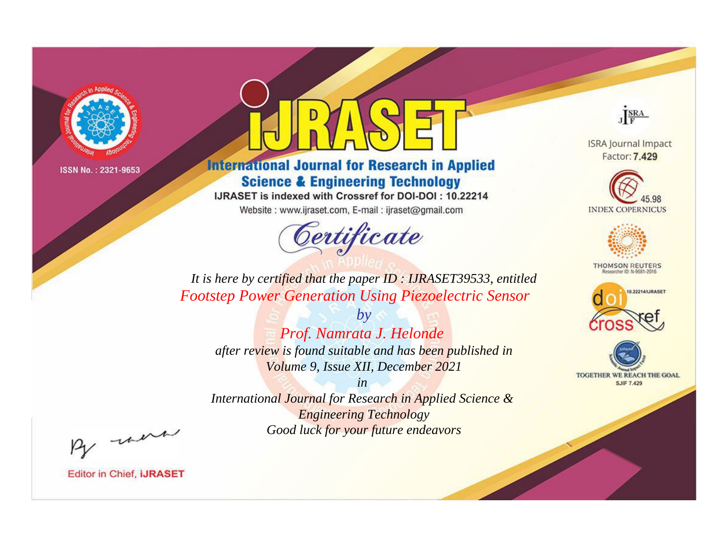

# **International Journal for Research in Applied Science & Engineering Technology**

IJRASET is indexed with Crossref for DOI-DOI: 10.22214

Website: www.ijraset.com, E-mail: ijraset@gmail.com



JERA

**ISRA Journal Impact** Factor: 7.429





**THOMSON REUTERS** 



TOGETHER WE REACH THE GOAL **SJIF 7.429** 

It is here by certified that the paper ID: IJRASET39533, entitled **Footstep Power Generation Using Piezoelectric Sensor** 

 $b\nu$ Prof. Namrata J. Helonde after review is found suitable and has been published in Volume 9, Issue XII, December 2021

 $in$ International Journal for Research in Applied Science & **Engineering Technology** Good luck for your future endeavors

By morn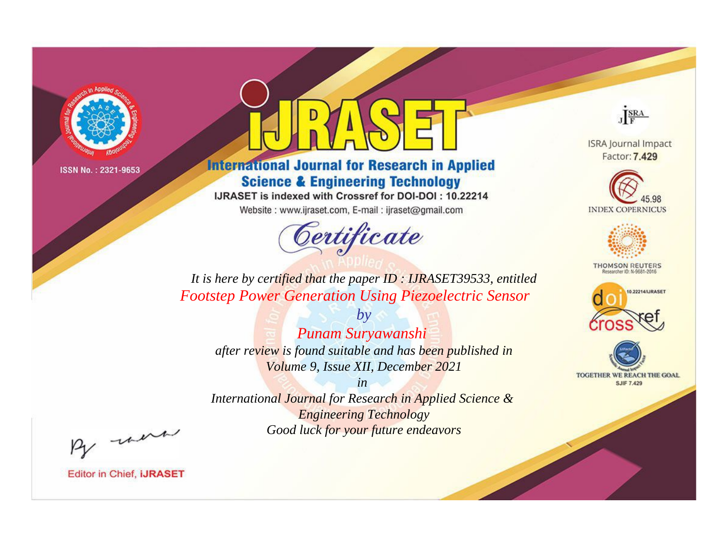

# **International Journal for Research in Applied Science & Engineering Technology**

IJRASET is indexed with Crossref for DOI-DOI: 10.22214

Website: www.ijraset.com, E-mail: ijraset@gmail.com



JERA

**ISRA Journal Impact** Factor: 7.429





**THOMSON REUTERS** 



TOGETHER WE REACH THE GOAL **SJIF 7.429** 

It is here by certified that the paper ID: IJRASET39533, entitled **Footstep Power Generation Using Piezoelectric Sensor** 

 $b\nu$ Punam Suryawanshi after review is found suitable and has been published in Volume 9, Issue XII, December 2021

 $in$ International Journal for Research in Applied Science & **Engineering Technology** Good luck for your future endeavors

By morn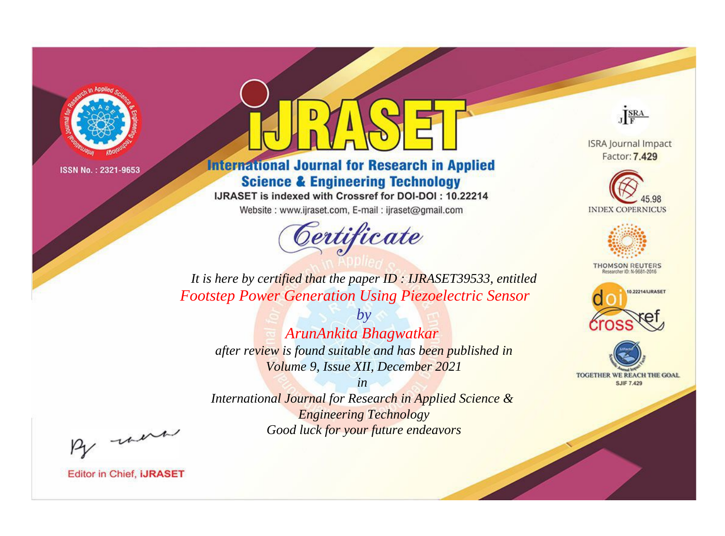

# **International Journal for Research in Applied Science & Engineering Technology**

IJRASET is indexed with Crossref for DOI-DOI: 10.22214

Website: www.ijraset.com, E-mail: ijraset@gmail.com



JERA

**ISRA Journal Impact** Factor: 7.429





**THOMSON REUTERS** 



TOGETHER WE REACH THE GOAL **SJIF 7.429** 

It is here by certified that the paper ID: IJRASET39533, entitled **Footstep Power Generation Using Piezoelectric Sensor** 

 $b\nu$ ArunAnkita Bhagwatkar after review is found suitable and has been published in Volume 9, Issue XII, December 2021

 $in$ International Journal for Research in Applied Science & **Engineering Technology** Good luck for your future endeavors

By morn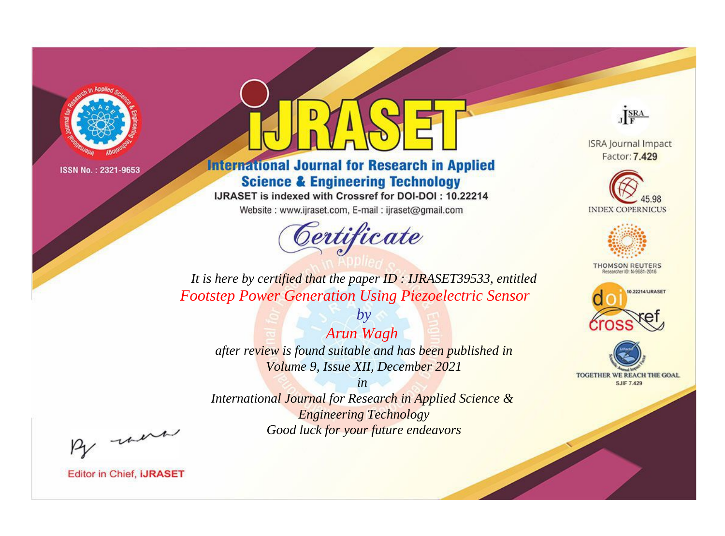

# **International Journal for Research in Applied Science & Engineering Technology**

IJRASET is indexed with Crossref for DOI-DOI: 10.22214

Website: www.ijraset.com, E-mail: ijraset@gmail.com



JERA

**ISRA Journal Impact** Factor: 7.429





**THOMSON REUTERS** 



TOGETHER WE REACH THE GOAL **SJIF 7.429** 

It is here by certified that the paper ID: IJRASET39533, entitled **Footstep Power Generation Using Piezoelectric Sensor** 

Arun Wagh after review is found suitable and has been published in Volume 9, Issue XII, December 2021

 $by$ 

 $in$ International Journal for Research in Applied Science & **Engineering Technology** Good luck for your future endeavors

By morn